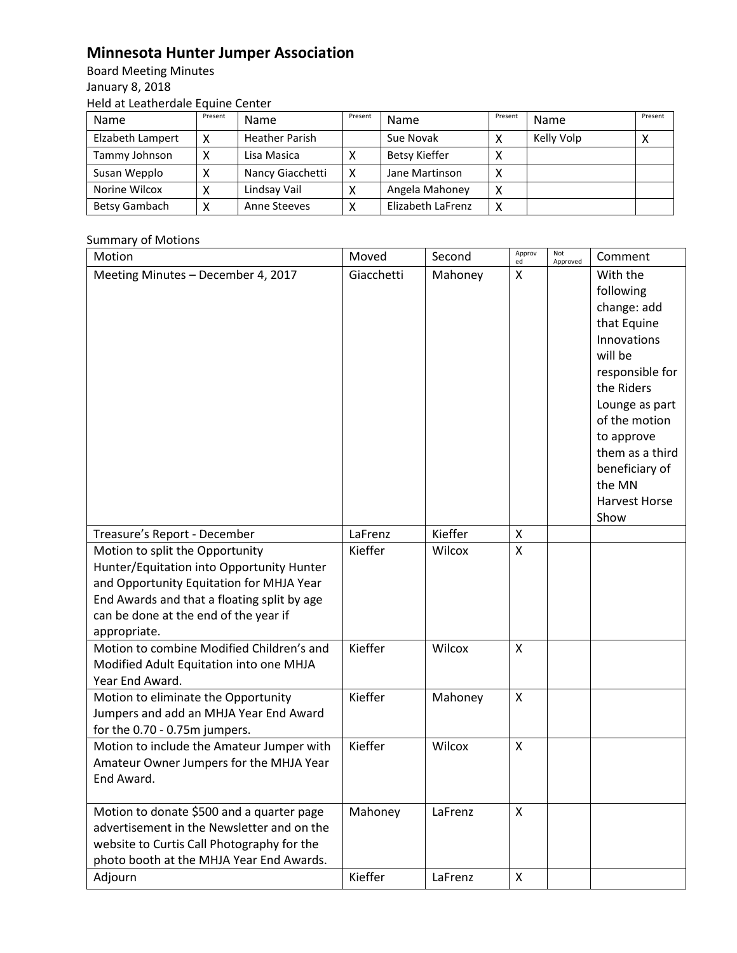# **Minnesota Hunter Jumper Association**

Board Meeting Minutes January 8, 2018 Held at Leatherdale Equine Center

| Name             | Present | Name                  | Present | Name              | Present           | Name       | Present |
|------------------|---------|-----------------------|---------|-------------------|-------------------|------------|---------|
| Elzabeth Lampert |         | <b>Heather Parish</b> |         | Sue Novak         |                   | Kelly Volp |         |
| Tammy Johnson    |         | Lisa Masica           |         | Betsy Kieffer     |                   |            |         |
| Susan Wepplo     |         | Nancy Giacchetti      | x       | Jane Martinson    | $\check{ }$<br>́  |            |         |
| Norine Wilcox    |         | Lindsay Vail          |         | Angela Mahoney    | X                 |            |         |
| Betsy Gambach    |         | Anne Steeves          |         | Elizabeth LaFrenz | $\checkmark$<br>́ |            |         |

## Summary of Motions

| Motion                                                                                                                                                                                                                           | Moved      | Second  | Approv<br>ed              | Not<br>Approved | Comment                                                                                                                                                                                                                                        |
|----------------------------------------------------------------------------------------------------------------------------------------------------------------------------------------------------------------------------------|------------|---------|---------------------------|-----------------|------------------------------------------------------------------------------------------------------------------------------------------------------------------------------------------------------------------------------------------------|
| Meeting Minutes - December 4, 2017                                                                                                                                                                                               | Giacchetti | Mahoney | X                         |                 | With the<br>following<br>change: add<br>that Equine<br>Innovations<br>will be<br>responsible for<br>the Riders<br>Lounge as part<br>of the motion<br>to approve<br>them as a third<br>beneficiary of<br>the MN<br><b>Harvest Horse</b><br>Show |
| Treasure's Report - December                                                                                                                                                                                                     | LaFrenz    | Kieffer | X                         |                 |                                                                                                                                                                                                                                                |
| Motion to split the Opportunity<br>Hunter/Equitation into Opportunity Hunter<br>and Opportunity Equitation for MHJA Year<br>End Awards and that a floating split by age<br>can be done at the end of the year if<br>appropriate. | Kieffer    | Wilcox  | X                         |                 |                                                                                                                                                                                                                                                |
| Motion to combine Modified Children's and<br>Modified Adult Equitation into one MHJA<br>Year End Award.                                                                                                                          | Kieffer    | Wilcox  | X                         |                 |                                                                                                                                                                                                                                                |
| Motion to eliminate the Opportunity<br>Jumpers and add an MHJA Year End Award<br>for the 0.70 - 0.75m jumpers.                                                                                                                   | Kieffer    | Mahoney | X                         |                 |                                                                                                                                                                                                                                                |
| Motion to include the Amateur Jumper with<br>Amateur Owner Jumpers for the MHJA Year<br>End Award.                                                                                                                               | Kieffer    | Wilcox  | X                         |                 |                                                                                                                                                                                                                                                |
| Motion to donate \$500 and a quarter page<br>advertisement in the Newsletter and on the<br>website to Curtis Call Photography for the<br>photo booth at the MHJA Year End Awards.                                                | Mahoney    | LaFrenz | $\boldsymbol{\mathsf{X}}$ |                 |                                                                                                                                                                                                                                                |
| Adjourn                                                                                                                                                                                                                          | Kieffer    | LaFrenz | $\pmb{\times}$            |                 |                                                                                                                                                                                                                                                |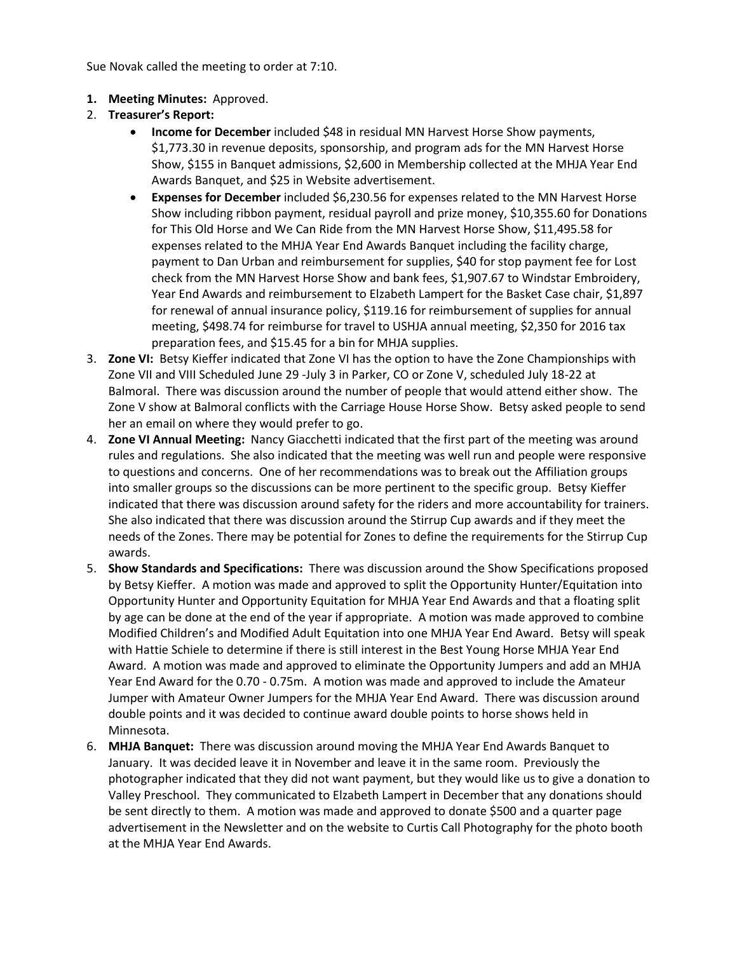Sue Novak called the meeting to order at 7:10.

- **1. Meeting Minutes:** Approved.
- 2. **Treasurer's Report:** 
	- **Income for December** included \$48 in residual MN Harvest Horse Show payments, \$1,773.30 in revenue deposits, sponsorship, and program ads for the MN Harvest Horse Show, \$155 in Banquet admissions, \$2,600 in Membership collected at the MHJA Year End Awards Banquet, and \$25 in Website advertisement.
	- **Expenses for December** included \$6,230.56 for expenses related to the MN Harvest Horse Show including ribbon payment, residual payroll and prize money, \$10,355.60 for Donations for This Old Horse and We Can Ride from the MN Harvest Horse Show, \$11,495.58 for expenses related to the MHJA Year End Awards Banquet including the facility charge, payment to Dan Urban and reimbursement for supplies, \$40 for stop payment fee for Lost check from the MN Harvest Horse Show and bank fees, \$1,907.67 to Windstar Embroidery, Year End Awards and reimbursement to Elzabeth Lampert for the Basket Case chair, \$1,897 for renewal of annual insurance policy, \$119.16 for reimbursement of supplies for annual meeting, \$498.74 for reimburse for travel to USHJA annual meeting, \$2,350 for 2016 tax preparation fees, and \$15.45 for a bin for MHJA supplies.
- 3. **Zone VI:** Betsy Kieffer indicated that Zone VI has the option to have the Zone Championships with Zone VII and VIII Scheduled June 29 -July 3 in Parker, CO or Zone V, scheduled July 18-22 at Balmoral. There was discussion around the number of people that would attend either show. The Zone V show at Balmoral conflicts with the Carriage House Horse Show. Betsy asked people to send her an email on where they would prefer to go.
- 4. **Zone VI Annual Meeting:** Nancy Giacchetti indicated that the first part of the meeting was around rules and regulations. She also indicated that the meeting was well run and people were responsive to questions and concerns. One of her recommendations was to break out the Affiliation groups into smaller groups so the discussions can be more pertinent to the specific group. Betsy Kieffer indicated that there was discussion around safety for the riders and more accountability for trainers. She also indicated that there was discussion around the Stirrup Cup awards and if they meet the needs of the Zones. There may be potential for Zones to define the requirements for the Stirrup Cup awards.
- 5. **Show Standards and Specifications:** There was discussion around the Show Specifications proposed by Betsy Kieffer. A motion was made and approved to split the Opportunity Hunter/Equitation into Opportunity Hunter and Opportunity Equitation for MHJA Year End Awards and that a floating split by age can be done at the end of the year if appropriate. A motion was made approved to combine Modified Children's and Modified Adult Equitation into one MHJA Year End Award. Betsy will speak with Hattie Schiele to determine if there is still interest in the Best Young Horse MHJA Year End Award. A motion was made and approved to eliminate the Opportunity Jumpers and add an MHJA Year End Award for the 0.70 - 0.75m. A motion was made and approved to include the Amateur Jumper with Amateur Owner Jumpers for the MHJA Year End Award. There was discussion around double points and it was decided to continue award double points to horse shows held in Minnesota.
- 6. **MHJA Banquet:** There was discussion around moving the MHJA Year End Awards Banquet to January. It was decided leave it in November and leave it in the same room. Previously the photographer indicated that they did not want payment, but they would like us to give a donation to Valley Preschool. They communicated to Elzabeth Lampert in December that any donations should be sent directly to them. A motion was made and approved to donate \$500 and a quarter page advertisement in the Newsletter and on the website to Curtis Call Photography for the photo booth at the MHJA Year End Awards.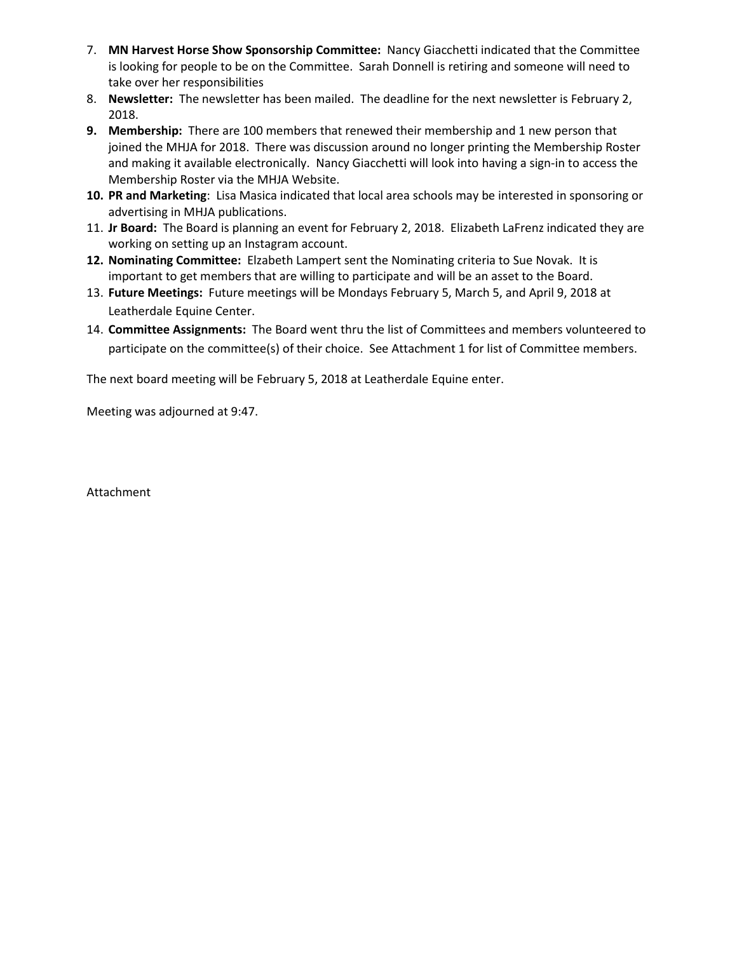- 7. **MN Harvest Horse Show Sponsorship Committee:** Nancy Giacchetti indicated that the Committee is looking for people to be on the Committee. Sarah Donnell is retiring and someone will need to take over her responsibilities
- 8. **Newsletter:** The newsletter has been mailed. The deadline for the next newsletter is February 2, 2018.
- **9. Membership:** There are 100 members that renewed their membership and 1 new person that joined the MHJA for 2018. There was discussion around no longer printing the Membership Roster and making it available electronically. Nancy Giacchetti will look into having a sign-in to access the Membership Roster via the MHJA Website.
- **10. PR and Marketing**: Lisa Masica indicated that local area schools may be interested in sponsoring or advertising in MHJA publications.
- 11. **Jr Board:** The Board is planning an event for February 2, 2018. Elizabeth LaFrenz indicated they are working on setting up an Instagram account.
- **12. Nominating Committee:** Elzabeth Lampert sent the Nominating criteria to Sue Novak. It is important to get members that are willing to participate and will be an asset to the Board.
- 13. **Future Meetings:** Future meetings will be Mondays February 5, March 5, and April 9, 2018 at Leatherdale Equine Center.
- 14. **Committee Assignments:** The Board went thru the list of Committees and members volunteered to participate on the committee(s) of their choice. See Attachment 1 for list of Committee members.

The next board meeting will be February 5, 2018 at Leatherdale Equine enter.

Meeting was adjourned at 9:47.

Attachment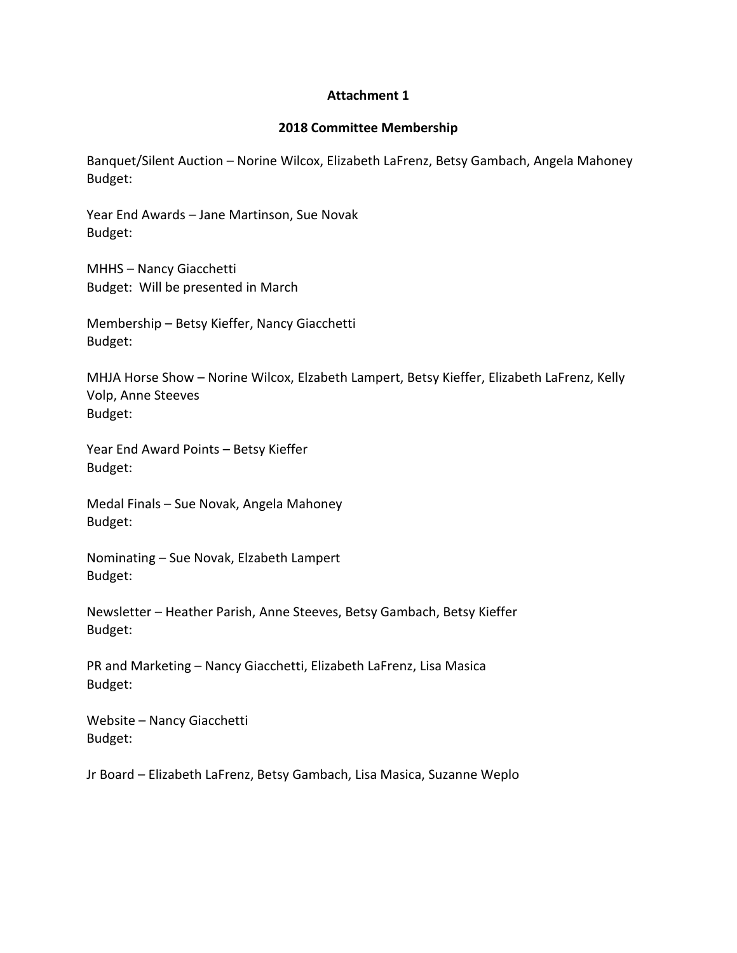### **Attachment 1**

#### **2018 Committee Membership**

Banquet/Silent Auction – Norine Wilcox, Elizabeth LaFrenz, Betsy Gambach, Angela Mahoney Budget:

Year End Awards – Jane Martinson, Sue Novak Budget:

MHHS – Nancy Giacchetti Budget: Will be presented in March

Membership – Betsy Kieffer, Nancy Giacchetti Budget:

MHJA Horse Show – Norine Wilcox, Elzabeth Lampert, Betsy Kieffer, Elizabeth LaFrenz, Kelly Volp, Anne Steeves Budget:

Year End Award Points – Betsy Kieffer Budget:

Medal Finals – Sue Novak, Angela Mahoney Budget:

Nominating – Sue Novak, Elzabeth Lampert Budget:

Newsletter – Heather Parish, Anne Steeves, Betsy Gambach, Betsy Kieffer Budget:

PR and Marketing – Nancy Giacchetti, Elizabeth LaFrenz, Lisa Masica Budget:

Website – Nancy Giacchetti Budget:

Jr Board – Elizabeth LaFrenz, Betsy Gambach, Lisa Masica, Suzanne Weplo